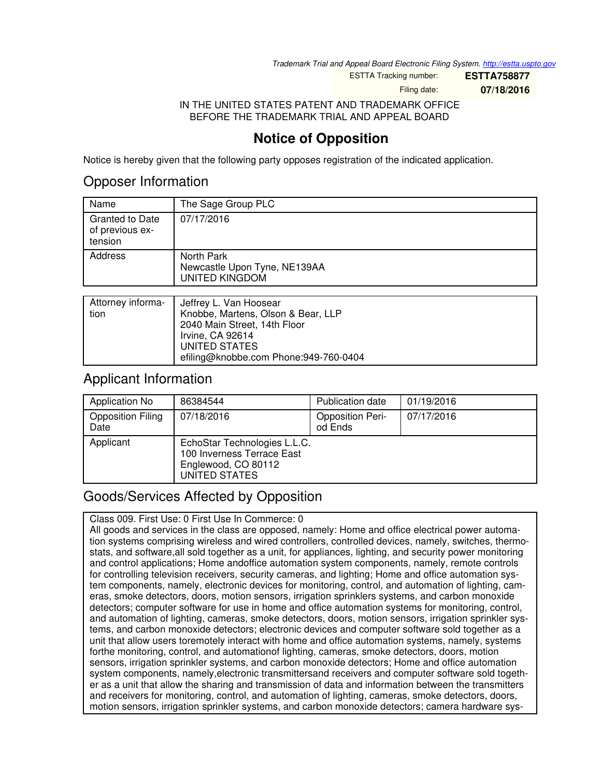*Trademark Trial and Appeal Board Electronic Filing System. <http://estta.uspto.gov>*

ESTTA Tracking number: **ESTTA758877**

Filing date: **07/18/2016**

IN THE UNITED STATES PATENT AND TRADEMARK OFFICE BEFORE THE TRADEMARK TRIAL AND APPEAL BOARD

## **Notice of Opposition**

Notice is hereby given that the following party opposes registration of the indicated application.

## Opposer Information

| Name                                                                 | The Sage Group PLC                                                  |
|----------------------------------------------------------------------|---------------------------------------------------------------------|
| <b>Granted to Date</b><br>of previous ex-<br>tension                 | 07/17/2016                                                          |
| Address                                                              | North Park<br>Newcastle Upon Tyne, NE139AA<br><b>UNITED KINGDOM</b> |
|                                                                      |                                                                     |
| Attorney informa-<br>the community of the community of the community | Jeffrey L. Van Hoosear                                              |

| Allottley implition   Jeniey L. Van Hoosear |
|---------------------------------------------|
| Knobbe, Martens, Olson & Bear, LLP          |
| 2040 Main Street, 14th Floor                |
| Irvine, CA 92614                            |
| UNITED STATES                               |
| efiling@knobbe.com Phone:949-760-0404       |
|                                             |

## Applicant Information

| Application No                   | 86384544                                                                                           | <b>Publication date</b>            | 01/19/2016 |
|----------------------------------|----------------------------------------------------------------------------------------------------|------------------------------------|------------|
| <b>Opposition Filing</b><br>Date | 07/18/2016                                                                                         | <b>Opposition Peri-</b><br>od Ends | 07/17/2016 |
| Applicant                        | EchoStar Technologies L.L.C.<br>100 Inverness Terrace East<br>Englewood, CO 80112<br>UNITED STATES |                                    |            |

## Goods/Services Affected by Opposition

Class 009. First Use: 0 First Use In Commerce: 0

All goods and services in the class are opposed, namely: Home and office electrical power automation systems comprising wireless and wired controllers, controlled devices, namely, switches, thermostats, and software,all sold together as a unit, for appliances, lighting, and security power monitoring and control applications; Home andoffice automation system components, namely, remote controls for controlling television receivers, security cameras, and lighting; Home and office automation system components, namely, electronic devices for monitoring, control, and automation of lighting, cameras, smoke detectors, doors, motion sensors, irrigation sprinklers systems, and carbon monoxide detectors; computer software for use in home and office automation systems for monitoring, control, and automation of lighting, cameras, smoke detectors, doors, motion sensors, irrigation sprinkler systems, and carbon monoxide detectors; electronic devices and computer software sold together as a unit that allow users toremotely interact with home and office automation systems, namely, systems forthe monitoring, control, and automationof lighting, cameras, smoke detectors, doors, motion sensors, irrigation sprinkler systems, and carbon monoxide detectors; Home and office automation system components, namely,electronic transmittersand receivers and computer software sold together as a unit that allow the sharing and transmission of data and information between the transmitters and receivers for monitoring, control, and automation of lighting, cameras, smoke detectors, doors, motion sensors, irrigation sprinkler systems, and carbon monoxide detectors; camera hardware sys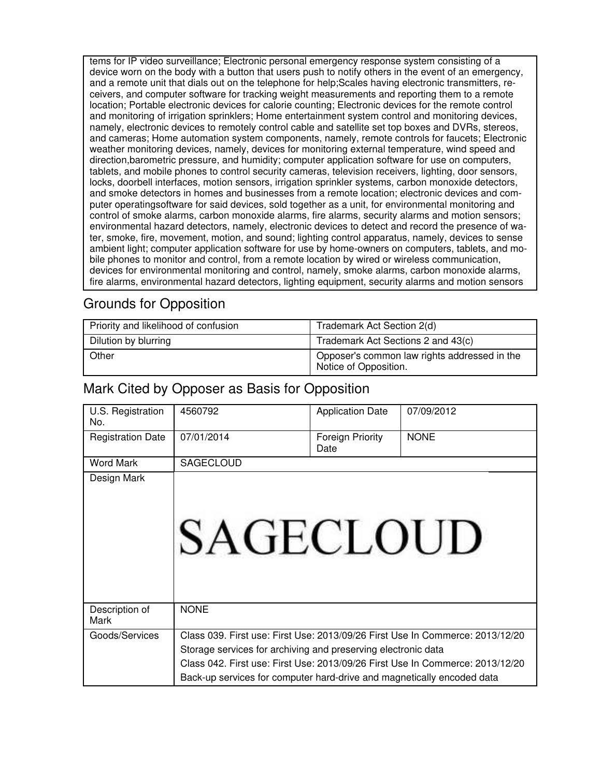tems for IP video surveillance; Electronic personal emergency response system consisting of a device worn on the body with a button that users push to notify others in the event of an emergency, and a remote unit that dials out on the telephone for help;Scales having electronic transmitters, receivers, and computer software for tracking weight measurements and reporting them to a remote location; Portable electronic devices for calorie counting; Electronic devices for the remote control and monitoring of irrigation sprinklers; Home entertainment system control and monitoring devices, namely, electronic devices to remotely control cable and satellite set top boxes and DVRs, stereos, and cameras; Home automation system components, namely, remote controls for faucets; Electronic weather monitoring devices, namely, devices for monitoring external temperature, wind speed and direction,barometric pressure, and humidity; computer application software for use on computers, tablets, and mobile phones to control security cameras, television receivers, lighting, door sensors, locks, doorbell interfaces, motion sensors, irrigation sprinkler systems, carbon monoxide detectors, and smoke detectors in homes and businesses from a remote location; electronic devices and computer operatingsoftware for said devices, sold together as a unit, for environmental monitoring and control of smoke alarms, carbon monoxide alarms, fire alarms, security alarms and motion sensors; environmental hazard detectors, namely, electronic devices to detect and record the presence of water, smoke, fire, movement, motion, and sound; lighting control apparatus, namely, devices to sense ambient light; computer application software for use by home-owners on computers, tablets, and mobile phones to monitor and control, from a remote location by wired or wireless communication, devices for environmental monitoring and control, namely, smoke alarms, carbon monoxide alarms, fire alarms, environmental hazard detectors, lighting equipment, security alarms and motion sensors

## Grounds for Opposition

| Priority and likelihood of confusion | Trademark Act Section 2(d)                                            |  |
|--------------------------------------|-----------------------------------------------------------------------|--|
| Dilution by blurring                 | Trademark Act Sections 2 and 43(c)                                    |  |
| Other                                | Opposer's common law rights addressed in the<br>Notice of Opposition. |  |

## Mark Cited by Opposer as Basis for Opposition

| U.S. Registration<br>No. | 4560792                                                                | <b>Application Date</b>  | 07/09/2012                                                                    |
|--------------------------|------------------------------------------------------------------------|--------------------------|-------------------------------------------------------------------------------|
| <b>Registration Date</b> | 07/01/2014                                                             | Foreign Priority<br>Date | <b>NONE</b>                                                                   |
| <b>Word Mark</b>         | <b>SAGECLOUD</b>                                                       |                          |                                                                               |
| Design Mark              | <b>SAGECLOUD</b>                                                       |                          |                                                                               |
| Description of<br>Mark   | <b>NONE</b>                                                            |                          |                                                                               |
| Goods/Services           |                                                                        |                          | Class 039. First use: First Use: 2013/09/26 First Use In Commerce: 2013/12/20 |
|                          | Storage services for archiving and preserving electronic data          |                          |                                                                               |
|                          |                                                                        |                          | Class 042. First use: First Use: 2013/09/26 First Use In Commerce: 2013/12/20 |
|                          | Back-up services for computer hard-drive and magnetically encoded data |                          |                                                                               |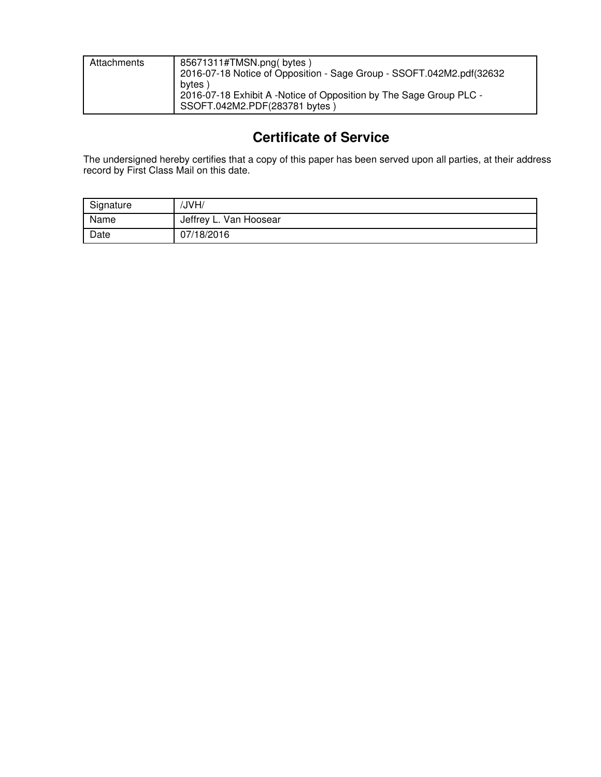| Attachments | 85671311#TMSN.png(bytes)<br>2016-07-18 Notice of Opposition - Sage Group - SSOFT.042M2.pdf(32632<br>bytes) |
|-------------|------------------------------------------------------------------------------------------------------------|
|             | 2016-07-18 Exhibit A -Notice of Opposition by The Sage Group PLC -<br>SSOFT.042M2.PDF(283781 bytes)        |

## **Certificate of Service**

The undersigned hereby certifies that a copy of this paper has been served upon all parties, at their address record by First Class Mail on this date.

| Signature | /JVH/                  |
|-----------|------------------------|
| Name      | Jeffrey L. Van Hoosear |
| Date      | 07/18/2016             |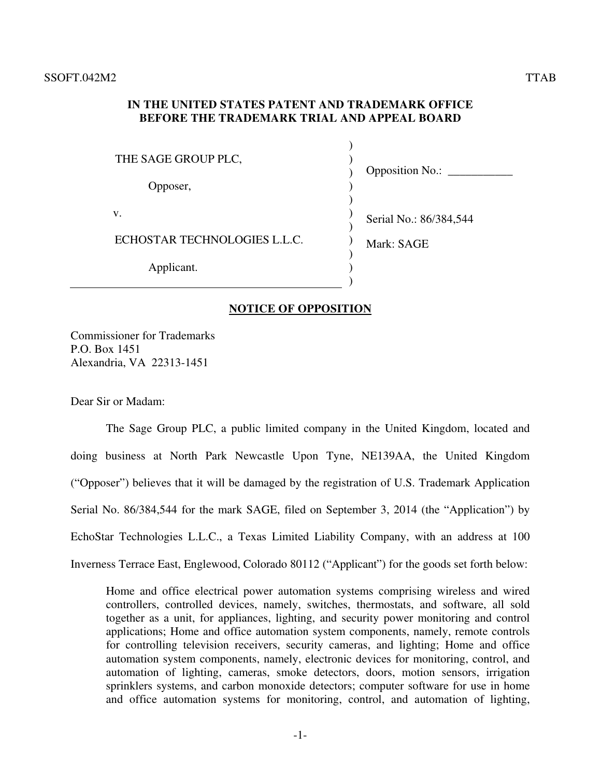#### **IN THE UNITED STATES PATENT AND TRADEMARK OFFICE BEFORE THE TRADEMARK TRIAL AND APPEAL BOARD**

| THE SAGE GROUP PLC,<br>Opposer, | <b>Opposition No.:</b> |
|---------------------------------|------------------------|
| v.                              | Serial No.: 86/384,544 |
| ECHOSTAR TECHNOLOGIES L.L.C.    | Mark: SAGE             |
| Applicant.                      |                        |

#### **NOTICE OF OPPOSITION**

Commissioner for Trademarks P.O. Box 1451 Alexandria, VA 22313-1451

Dear Sir or Madam:

 The Sage Group PLC, a public limited company in the United Kingdom, located and doing business at North Park Newcastle Upon Tyne, NE139AA, the United Kingdom ("Opposer") believes that it will be damaged by the registration of U.S. Trademark Application Serial No. 86/384,544 for the mark SAGE, filed on September 3, 2014 (the "Application") by EchoStar Technologies L.L.C., a Texas Limited Liability Company, with an address at 100 Inverness Terrace East, Englewood, Colorado 80112 ("Applicant") for the goods set forth below:

Home and office electrical power automation systems comprising wireless and wired controllers, controlled devices, namely, switches, thermostats, and software, all sold together as a unit, for appliances, lighting, and security power monitoring and control applications; Home and office automation system components, namely, remote controls for controlling television receivers, security cameras, and lighting; Home and office automation system components, namely, electronic devices for monitoring, control, and automation of lighting, cameras, smoke detectors, doors, motion sensors, irrigation sprinklers systems, and carbon monoxide detectors; computer software for use in home and office automation systems for monitoring, control, and automation of lighting,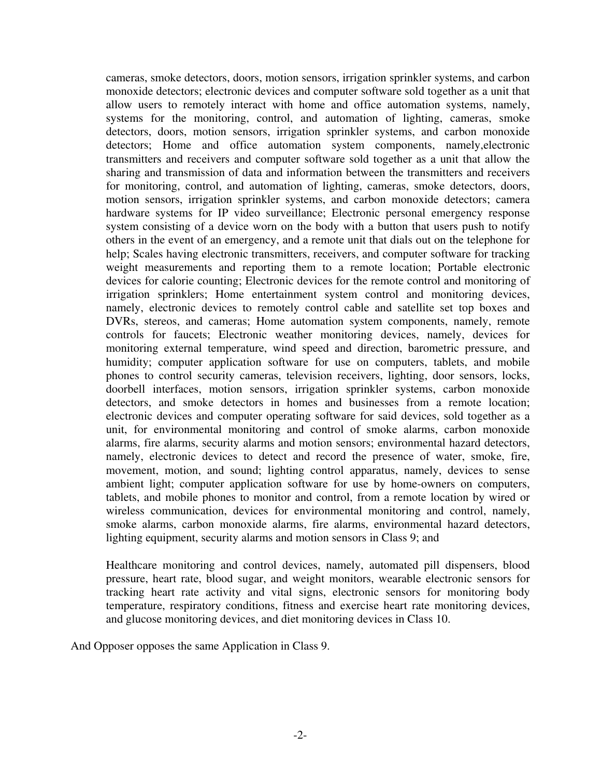cameras, smoke detectors, doors, motion sensors, irrigation sprinkler systems, and carbon monoxide detectors; electronic devices and computer software sold together as a unit that allow users to remotely interact with home and office automation systems, namely, systems for the monitoring, control, and automation of lighting, cameras, smoke detectors, doors, motion sensors, irrigation sprinkler systems, and carbon monoxide detectors; Home and office automation system components, namely,electronic transmitters and receivers and computer software sold together as a unit that allow the sharing and transmission of data and information between the transmitters and receivers for monitoring, control, and automation of lighting, cameras, smoke detectors, doors, motion sensors, irrigation sprinkler systems, and carbon monoxide detectors; camera hardware systems for IP video surveillance; Electronic personal emergency response system consisting of a device worn on the body with a button that users push to notify others in the event of an emergency, and a remote unit that dials out on the telephone for help; Scales having electronic transmitters, receivers, and computer software for tracking weight measurements and reporting them to a remote location; Portable electronic devices for calorie counting; Electronic devices for the remote control and monitoring of irrigation sprinklers; Home entertainment system control and monitoring devices, namely, electronic devices to remotely control cable and satellite set top boxes and DVRs, stereos, and cameras; Home automation system components, namely, remote controls for faucets; Electronic weather monitoring devices, namely, devices for monitoring external temperature, wind speed and direction, barometric pressure, and humidity; computer application software for use on computers, tablets, and mobile phones to control security cameras, television receivers, lighting, door sensors, locks, doorbell interfaces, motion sensors, irrigation sprinkler systems, carbon monoxide detectors, and smoke detectors in homes and businesses from a remote location; electronic devices and computer operating software for said devices, sold together as a unit, for environmental monitoring and control of smoke alarms, carbon monoxide alarms, fire alarms, security alarms and motion sensors; environmental hazard detectors, namely, electronic devices to detect and record the presence of water, smoke, fire, movement, motion, and sound; lighting control apparatus, namely, devices to sense ambient light; computer application software for use by home-owners on computers, tablets, and mobile phones to monitor and control, from a remote location by wired or wireless communication, devices for environmental monitoring and control, namely, smoke alarms, carbon monoxide alarms, fire alarms, environmental hazard detectors, lighting equipment, security alarms and motion sensors in Class 9; and

Healthcare monitoring and control devices, namely, automated pill dispensers, blood pressure, heart rate, blood sugar, and weight monitors, wearable electronic sensors for tracking heart rate activity and vital signs, electronic sensors for monitoring body temperature, respiratory conditions, fitness and exercise heart rate monitoring devices, and glucose monitoring devices, and diet monitoring devices in Class 10.

And Opposer opposes the same Application in Class 9.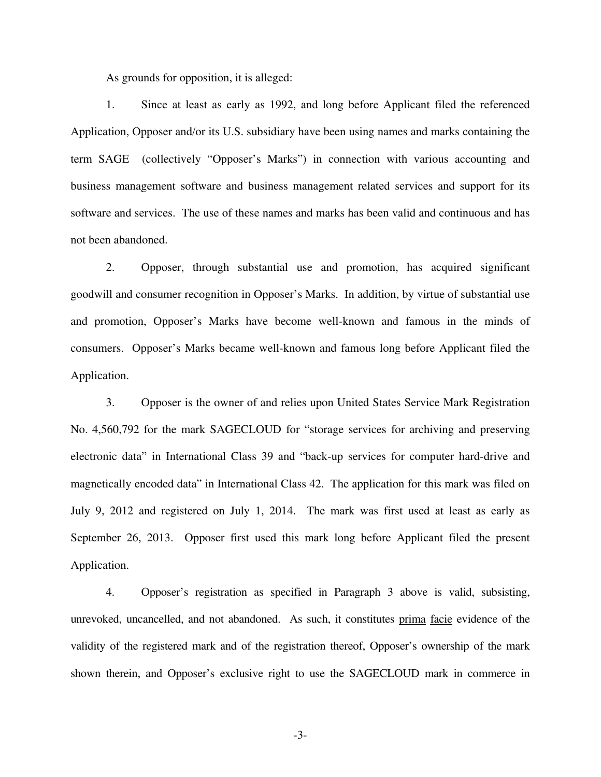As grounds for opposition, it is alleged:

 1. Since at least as early as 1992, and long before Applicant filed the referenced Application, Opposer and/or its U.S. subsidiary have been using names and marks containing the term SAGE (collectively "Opposer's Marks") in connection with various accounting and business management software and business management related services and support for its software and services. The use of these names and marks has been valid and continuous and has not been abandoned.

 2. Opposer, through substantial use and promotion, has acquired significant goodwill and consumer recognition in Opposer's Marks. In addition, by virtue of substantial use and promotion, Opposer's Marks have become well-known and famous in the minds of consumers. Opposer's Marks became well-known and famous long before Applicant filed the Application.

3. Opposer is the owner of and relies upon United States Service Mark Registration No. 4,560,792 for the mark SAGECLOUD for "storage services for archiving and preserving electronic data" in International Class 39 and "back-up services for computer hard-drive and magnetically encoded data" in International Class 42. The application for this mark was filed on July 9, 2012 and registered on July 1, 2014. The mark was first used at least as early as September 26, 2013. Opposer first used this mark long before Applicant filed the present Application.

4. Opposer's registration as specified in Paragraph 3 above is valid, subsisting, unrevoked, uncancelled, and not abandoned. As such, it constitutes prima facie evidence of the validity of the registered mark and of the registration thereof, Opposer's ownership of the mark shown therein, and Opposer's exclusive right to use the SAGECLOUD mark in commerce in

-3-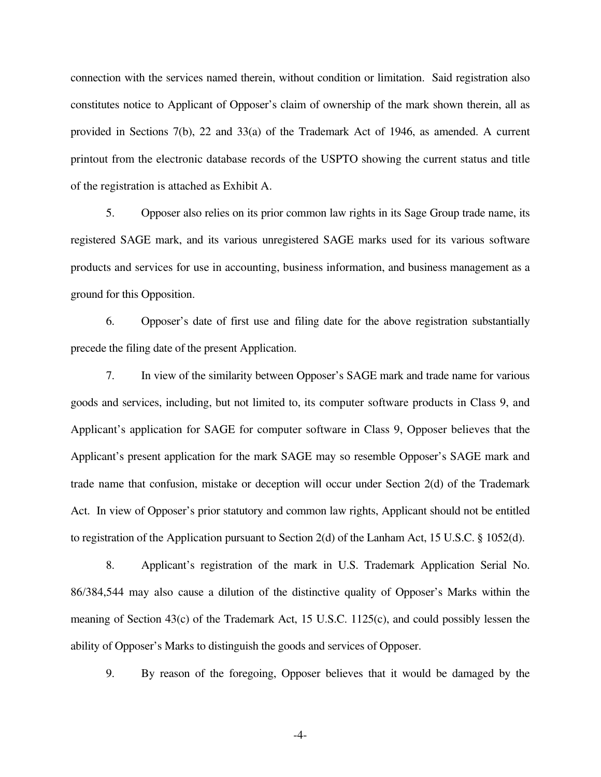connection with the services named therein, without condition or limitation. Said registration also constitutes notice to Applicant of Opposer's claim of ownership of the mark shown therein, all as provided in Sections 7(b), 22 and 33(a) of the Trademark Act of 1946, as amended. A current printout from the electronic database records of the USPTO showing the current status and title of the registration is attached as Exhibit A.

 5. Opposer also relies on its prior common law rights in its Sage Group trade name, its registered SAGE mark, and its various unregistered SAGE marks used for its various software products and services for use in accounting, business information, and business management as a ground for this Opposition.

 6. Opposer's date of first use and filing date for the above registration substantially precede the filing date of the present Application.

7. In view of the similarity between Opposer's SAGE mark and trade name for various goods and services, including, but not limited to, its computer software products in Class 9, and Applicant's application for SAGE for computer software in Class 9, Opposer believes that the Applicant's present application for the mark SAGE may so resemble Opposer's SAGE mark and trade name that confusion, mistake or deception will occur under Section 2(d) of the Trademark Act. In view of Opposer's prior statutory and common law rights, Applicant should not be entitled to registration of the Application pursuant to Section 2(d) of the Lanham Act, 15 U.S.C. § 1052(d).

8. Applicant's registration of the mark in U.S. Trademark Application Serial No. 86/384,544 may also cause a dilution of the distinctive quality of Opposer's Marks within the meaning of Section 43(c) of the Trademark Act, 15 U.S.C. 1125(c), and could possibly lessen the ability of Opposer's Marks to distinguish the goods and services of Opposer.

9. By reason of the foregoing, Opposer believes that it would be damaged by the

-4-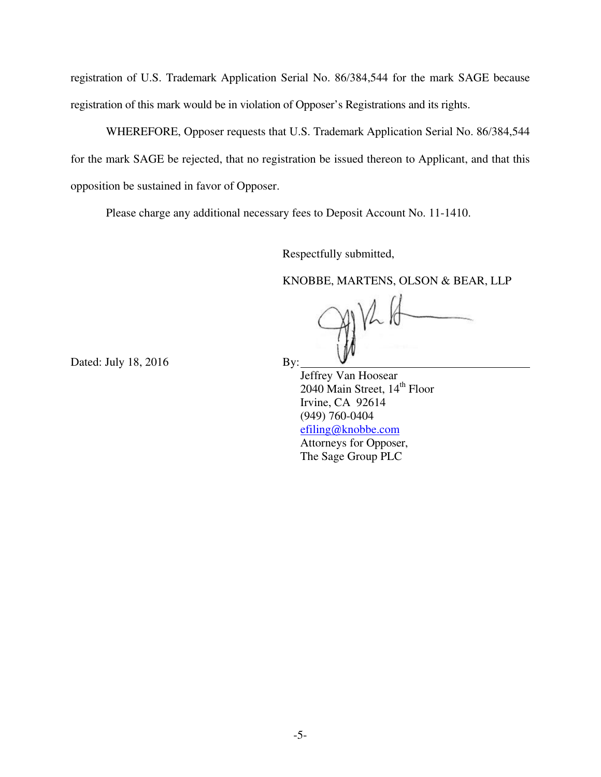registration of U.S. Trademark Application Serial No. 86/384,544 for the mark SAGE because registration of this mark would be in violation of Opposer's Registrations and its rights.

 WHEREFORE, Opposer requests that U.S. Trademark Application Serial No. 86/384,544 for the mark SAGE be rejected, that no registration be issued thereon to Applicant, and that this opposition be sustained in favor of Opposer.

Please charge any additional necessary fees to Deposit Account No. 11-1410.

Respectfully submitted,

KNOBBE, MARTENS, OLSON & BEAR, LLP

Dated: July 18, 2016 By:

 Jeffrey Van Hoosear  $2040$  Main Street,  $14<sup>th</sup>$  Floor Irvine, CA 92614 (949) 760-0404 efiling@knobbe.com Attorneys for Opposer, The Sage Group PLC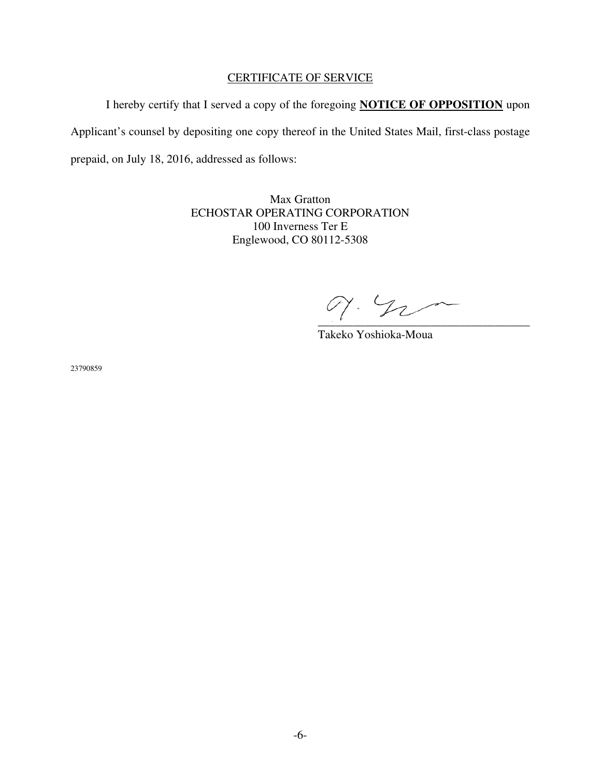#### CERTIFICATE OF SERVICE

 I hereby certify that I served a copy of the foregoing **NOTICE OF OPPOSITION** upon Applicant's counsel by depositing one copy thereof in the United States Mail, first-class postage prepaid, on July 18, 2016, addressed as follows:

> Max Gratton ECHOSTAR OPERATING CORPORATION 100 Inverness Ter E Englewood, CO 80112-5308

 $\mathscr{D}'\cdot\mathscr{D}_\mathcal{L}$ 

Takeko Yoshioka-Moua

23790859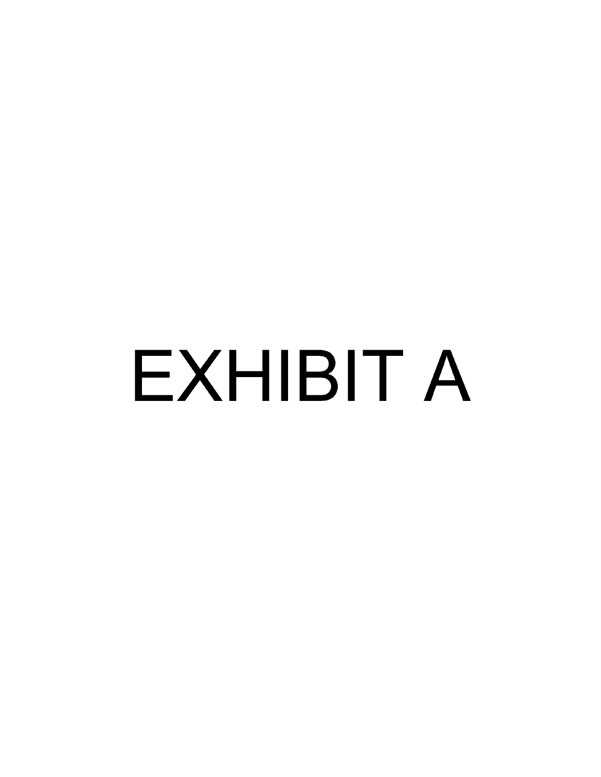# **EXHIBIT A**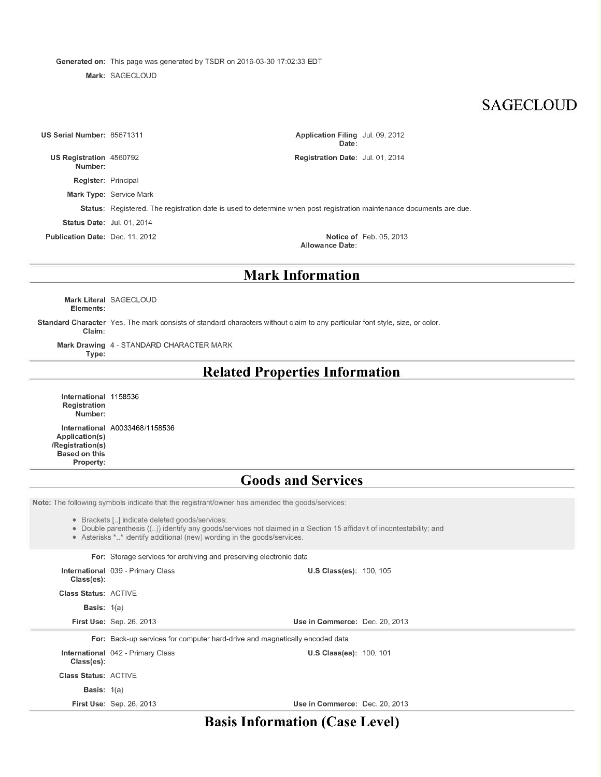Generated on: This page was generated by TSDR on 2016-03-30 17:02:33 EDT

Mark: SAGECLOUD

## **SAGECLOUD**

| US Serial Number: 85671311                |                                                                                                                      | Application Filing Jul. 09, 2012<br>Date: |                                |
|-------------------------------------------|----------------------------------------------------------------------------------------------------------------------|-------------------------------------------|--------------------------------|
| <b>US Registration 4560792</b><br>Number: |                                                                                                                      | <b>Registration Date: Jul. 01, 2014</b>   |                                |
| <b>Register: Principal</b>                |                                                                                                                      |                                           |                                |
|                                           | <b>Mark Type: Service Mark</b>                                                                                       |                                           |                                |
|                                           | Status: Registered. The registration date is used to determine when post-registration maintenance documents are due. |                                           |                                |
| <b>Status Date: Jul. 01, 2014</b>         |                                                                                                                      |                                           |                                |
| <b>Publication Date: Dec. 11, 2012</b>    |                                                                                                                      | Allowance Date:                           | <b>Notice of Feb. 05, 2013</b> |
|                                           |                                                                                                                      |                                           |                                |

## **Mark Information**

Mark Literal SAGECLOUD Elements:

Standard Character Yes. The mark consists of standard characters without claim to any particular font style, size, or color. Claim:

Mark Drawing 4 - STANDARD CHARACTER MARK

Type:

#### **Related Properties Information**

International 1158536 Registration Number: International A0033468/1158536 Application(s) /Registration(s) Based on this Property:

#### **Goods and Services**

Note: The following symbols indicate that the registrant/owner has amended the goods/services:

• Brackets [..] indicate deleted goods/services;

• Double parenthesis ((..)) identify any goods/services not claimed in a Section 15 affidavit of incontestability; and

• Asterisks \*..\* identify additional (new) wording in the goods/services.

For: Storage services for archiving and preserving electronic data

| $Class(es)$ :               | <b>International 039 - Primary Class</b>                                    | <b>U.S Class(es): 100, 105</b> |  |
|-----------------------------|-----------------------------------------------------------------------------|--------------------------------|--|
| <b>Class Status: ACTIVE</b> |                                                                             |                                |  |
| <b>Basis:</b> $1(a)$        |                                                                             |                                |  |
|                             | <b>First Use: Sep. 26, 2013</b>                                             | Use in Commerce: Dec. 20, 2013 |  |
|                             | For: Back-up services for computer hard-drive and magnetically encoded data |                                |  |
| Class(es):                  | <b>International 042 - Primary Class</b>                                    | <b>U.S Class(es): 100, 101</b> |  |
| <b>Class Status: ACTIVE</b> |                                                                             |                                |  |
| <b>Basis:</b> $1(a)$        |                                                                             |                                |  |
|                             | <b>First Use: Sep. 26, 2013</b>                                             | Use in Commerce: Dec. 20, 2013 |  |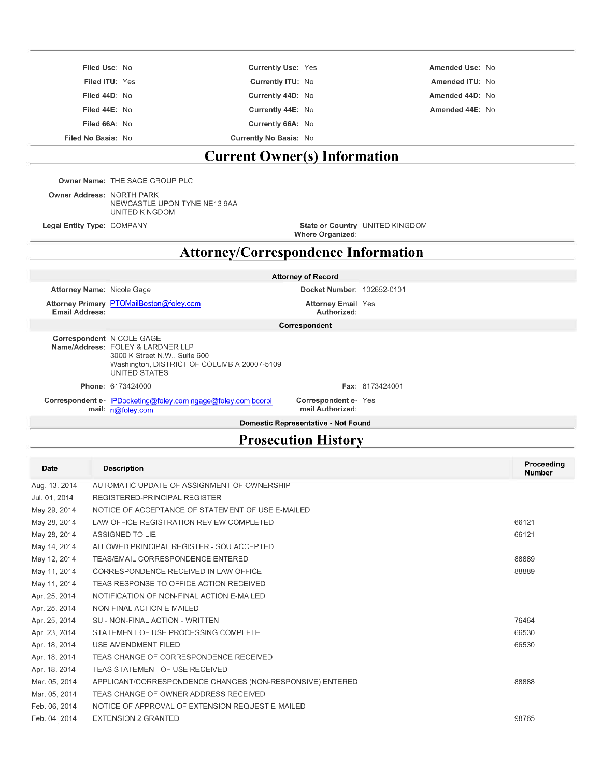| Filed Use: No      | <b>Currently Use: Yes</b>     | Amended Use: No |
|--------------------|-------------------------------|-----------------|
| Filed ITU: Yes     | Currently ITU: No             | Amended ITU: No |
| Filed 44D: No      | Currently 44D: No             | Amended 44D: No |
| Filed 44E: No      | Currently 44E: No             | Amended 44E: No |
| Filed 66A: No      | Currently 66A: No             |                 |
| Filed No Basis: No | <b>Currently No Basis: No</b> |                 |

## **Current Owner(s) Information**

Owner Name: THE SAGE GROUP PLC

Owner Address: NORTH PARK NEWCASTLE UPON TYNE NE13 9AA UNITED KINGDOM

Legal Entity Type: COMPANY

State or Country UNITED KINGDOM

Where Organized:

#### **Attorney/Correspondence Information**

#### **Attorney of Record**

Attorney Name: Nicole Gage

Docket Number: 102652-0101 **Attorney Email Yes** 

Authorized:

Attorney Primary PTOMailBoston@foley.com Email Address:

Correspondent

| Correspondent NICOLE GAGE |                                             |  |
|---------------------------|---------------------------------------------|--|
|                           | Name/Address: FOLEY & LARDNER LLP           |  |
|                           | 3000 K Street N.W., Suite 600               |  |
|                           | Washington, DISTRICT OF COLUMBIA 20007-5109 |  |
|                           | UNITED STATES                               |  |
|                           |                                             |  |
|                           | <b>Phone: 6173424000</b>                    |  |

Fax: 6173424001

Correspondent e- IPDocketing@foley.com ngage@foley.com bcorbi mail: n@foley.com

Correspondent e-Yes mail Authorized:

Domestic Representative - Not Found

## **Prosecution History**

| <b>Date</b>   | <b>Description</b>                                        | Proceeding<br>Number |
|---------------|-----------------------------------------------------------|----------------------|
| Aug. 13, 2014 | AUTOMATIC UPDATE OF ASSIGNMENT OF OWNERSHIP               |                      |
| Jul. 01, 2014 | REGISTERED-PRINCIPAL REGISTER                             |                      |
| May 29, 2014  | NOTICE OF ACCEPTANCE OF STATEMENT OF USE E-MAILED         |                      |
| May 28, 2014  | LAW OFFICE REGISTRATION REVIEW COMPLETED                  | 66121                |
| May 28, 2014  | ASSIGNED TO LIE                                           | 66121                |
| May 14, 2014  | ALLOWED PRINCIPAL REGISTER - SOU ACCEPTED                 |                      |
| May 12, 2014  | TEAS/EMAIL CORRESPONDENCE ENTERED                         | 88889                |
| May 11, 2014  | CORRESPONDENCE RECEIVED IN LAW OFFICE                     | 88889                |
| May 11, 2014  | TEAS RESPONSE TO OFFICE ACTION RECEIVED                   |                      |
| Apr. 25, 2014 | NOTIFICATION OF NON-FINAL ACTION E-MAILED                 |                      |
| Apr. 25, 2014 | NON-FINAL ACTION E-MAILED                                 |                      |
| Apr. 25, 2014 | SU - NON-FINAL ACTION - WRITTEN                           | 76464                |
| Apr. 23, 2014 | STATEMENT OF USE PROCESSING COMPLETE                      | 66530                |
| Apr. 18, 2014 | USE AMENDMENT FILED                                       | 66530                |
| Apr. 18, 2014 | TEAS CHANGE OF CORRESPONDENCE RECEIVED                    |                      |
| Apr. 18, 2014 | TEAS STATEMENT OF USE RECEIVED                            |                      |
| Mar. 05, 2014 | APPLICANT/CORRESPONDENCE CHANGES (NON-RESPONSIVE) ENTERED | 88888                |
| Mar. 05, 2014 | TEAS CHANGE OF OWNER ADDRESS RECEIVED                     |                      |
| Feb. 06, 2014 | NOTICE OF APPROVAL OF EXTENSION REQUEST E-MAILED          |                      |
| Feb. 04, 2014 | <b>EXTENSION 2 GRANTED</b>                                | 98765                |